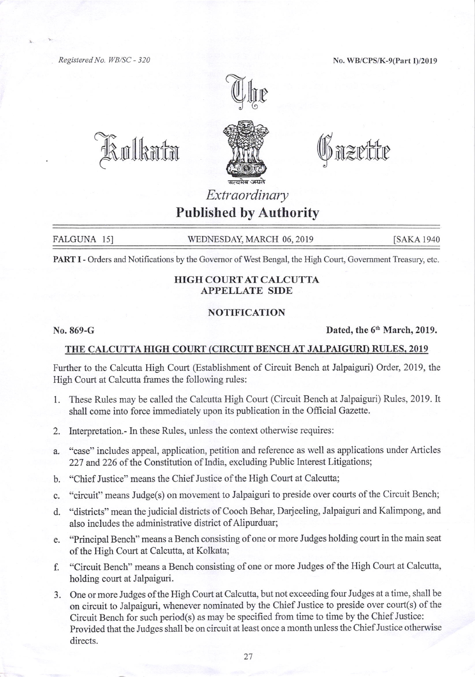Registered No. IYB/SC - 320

No. WB/CPS/K-9(Part I)/20I9



@uflhmfm



Unzrite

## Extraordinary Published by Authority

FALGUNA 15] WEDNESDAY, MARCH 06, 2019 [SAKA 1940]

PART I - Orders and Notifications by the Governor of West Bengal, the High Court, Government Treasury, etc.

## HIGH COURTAT CALCUTTA APPELLATE SIDE

## NOTIFICATION

 $\rm No. 869-G$  Dated, the  $6<sup>th</sup> March, 2019$ .

## THE CALCUTTA HIGH COURT (CIRCUIT BENCH AT JALPAIGURI) RULES, 2019

Further to the Calcutta High Court (Establishment of Circuit Bench at Jalpaiguri) Order, 2019, the High Court at Calcutta frames the following rules:

- 1. These Rules may be called the Calcutta High Court (Circuit Bench at Jalpaiguri) Rules, 2019. It shall come into force immediately upon its publication in the Official Gazette.
- 2. lnterpretation.- In these Rules, unless the context otherwise requires:
- a. "case" includes appeal, application, petition and reference as well as applications under Articles 227 and 226 of the Constitution of India, excluding Public Interest Litigations;
- b. "Chief Justice" means the Chief Justice of the High Court at Calcutta;
- c. "circuit" means Judge(s) on movement to Jalpaiguri to preside over courts of the Circuit Bench;
- d. "districts" mean the judicial districts of Cooch Behar, Darjeeling, Jalpaigwi and Kalimpong, and also includes the administrative district of Alipurduar;
- e. "Principal Bench" means a Bench consisting of one or more Judges holding court in the main seat of the High Court at Calcutta, at Kolkata;
- f. "Circuit Bench" means a Bench consisting of one or more Judges of the High Court at Calcutta, holding court at Jalpaiguri.
- 3. One or more Judges ofthe High Court at Calcutta, but not exceeding four Judges at a time, shall be on circuit to Jalpaiguri, whenever nominated by the Chief Justice to preside over court(s) of the Circuit Bench for such period(s) as may be specified ftom time to time by the Chief Justice: Provided that the Judges shall be on circuit at least once a month unless the Chief Justice otherwise directs.